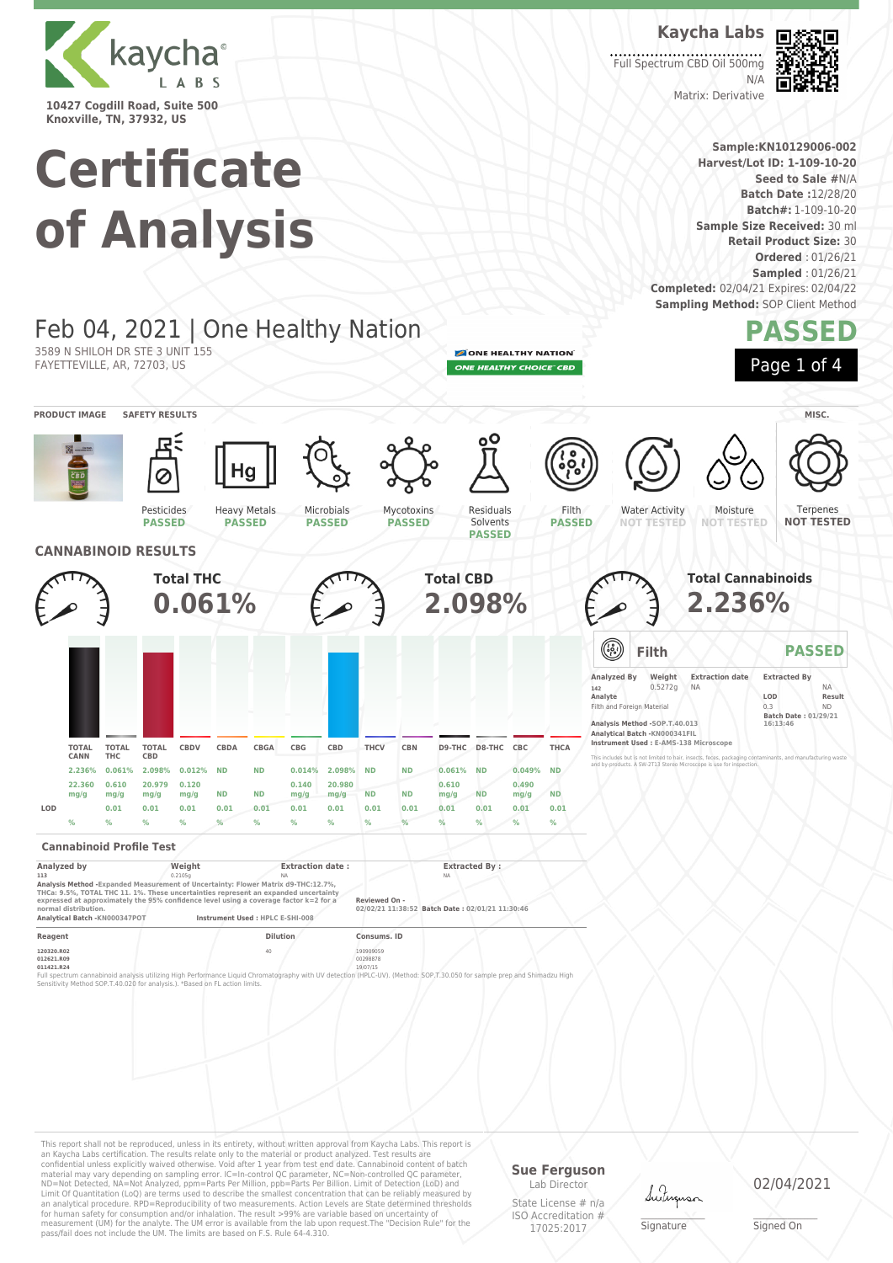

**Knoxville, TN, 37932, US**

3589 N SHILOH DR STE 3 UNIT 155 FAYETTEVILLE, AR, 72703, US

# **Certificate of Analysis**

Feb 04, 2021 | One Healthy Nation

Heavy Metals **PASSED**

**Kaycha Labs** Full Spectrum CBD Oil 500mg

Matrix: Derivative



**Sample:KN10129006-002 Harvest/Lot ID: 1-109-10-20 Seed to Sale #**N/A **Batch Date :**12/28/20 **Batch#:** 1-109-10-20 **Sample Size Received:** 30 ml **Retail Product Size:** 30 **Ordered** : 01/26/21 **Sampled** : 01/26/21 **Completed:** 02/04/21 Expires: 02/04/22 **Sampling Method: SOP Client Method** 

 $N/L$ 

## **PASSED**

ONE HEALTHY NATION ONE HEALTHY CHOICE" CBD

> Filth **PASSED**

Residuals Solvents



**Total Cannabinoids 2.236%**

**Filth PASSED**

**Analyzed By Weight Extraction date Extracted By 142** 0.5272g NA NA **Analyte LOD Result** Filth and Foreign Material 0.3 ND **Batch Date : 01/29/21 16:13:46**

This includes but is not limited to hair, insects, feces, packaging contaminants, and manufacturing waste and by-products. A SW-2T13 Stereo Microscope is use for inspection.

**Analysis Method -SOP.T.40.013 Analytical Batch -KN000341FIL Instrument Used : E-AMS-138 Microscope**



Terpenes **NOT TESTED**



Pesticides **PASSED**



Microbials **PASSED**

Mycotoxins **PASSED**

### **Cannabinoid Profile Test**

| Analyzed by                                                                                                                                                               | Weight  | <b>Extraction date:</b>          | <b>Extracted By:</b>                            |  |
|---------------------------------------------------------------------------------------------------------------------------------------------------------------------------|---------|----------------------------------|-------------------------------------------------|--|
| 113                                                                                                                                                                       | 0.2105a | <b>NA</b>                        | <b>NA</b>                                       |  |
| Analysis Method - Expanded Measurement of Uncertainty: Flower Matrix d9-THC:12.7%.<br>THCa: 9.5%, TOTAL THC 11, 1%. These uncertainties represent an expanded uncertainty |         |                                  |                                                 |  |
| expressed at approximately the 95% confidence level using a coverage factor k=2 for a                                                                                     |         |                                  | Reviewed On -                                   |  |
| normal distribution.                                                                                                                                                      |         |                                  | 02/02/21 11:38:52 Batch Date: 02/01/21 11:30:46 |  |
| Analytical Batch -KN000347POT                                                                                                                                             |         | Instrument Used : HPLC E-SHI-008 |                                                 |  |
| Reagent                                                                                                                                                                   |         | <b>Dilution</b>                  | Consums, ID                                     |  |
|                                                                                                                                                                           |         |                                  |                                                 |  |

**120320.R02** 190909059 190909059 190909059 190909059 190909059 190909059 190909059 190909059 190909059 190909059 **012621.R09** 00298878 **011421.R24** 19/07/15

Full spectrum cannabinoid analysis utilizing High Performance Liquid Chromatography with UV detection (HPLC-UV). (Method: SOP,T.30.050 for sample prep and Shimadzu High<br>Sensitivity Method SOP.T-40.020 for analysis.). "Base

This report shall not be reproduced, unless in its entirety, without written approval from Kaycha Labs. This report is an Kaycha Labs certification. The results relate only to the material or product analyzed. Test results are<br>confidential unless explicitly waived otherwise. Void after 1 year from test end date. Cannabinoid content of bat Limit Of Quantitation (LoQ) are terms used to describe the smallest concentration that can be reliably measured by an analytical procedure. RPD=Reproducibility of two measurements. Action Levels are State determined thresholds for human safety for consumption and/or inhalation. The result >99% are variable based on uncertainty of measurement (UM) for the analyte. The UM error is available from the lab upon request.The "Decision Rule" for the pass/fail does not include the UM. The limits are based on F.S. Rule 64-4.310.

### **Sue Ferguson**

Lab Director State License # n/a ISO Accreditation # 17025:2017

Lutus

\_\_\_\_\_\_\_\_\_\_\_\_\_\_\_\_\_\_\_ Signature

02/04/2021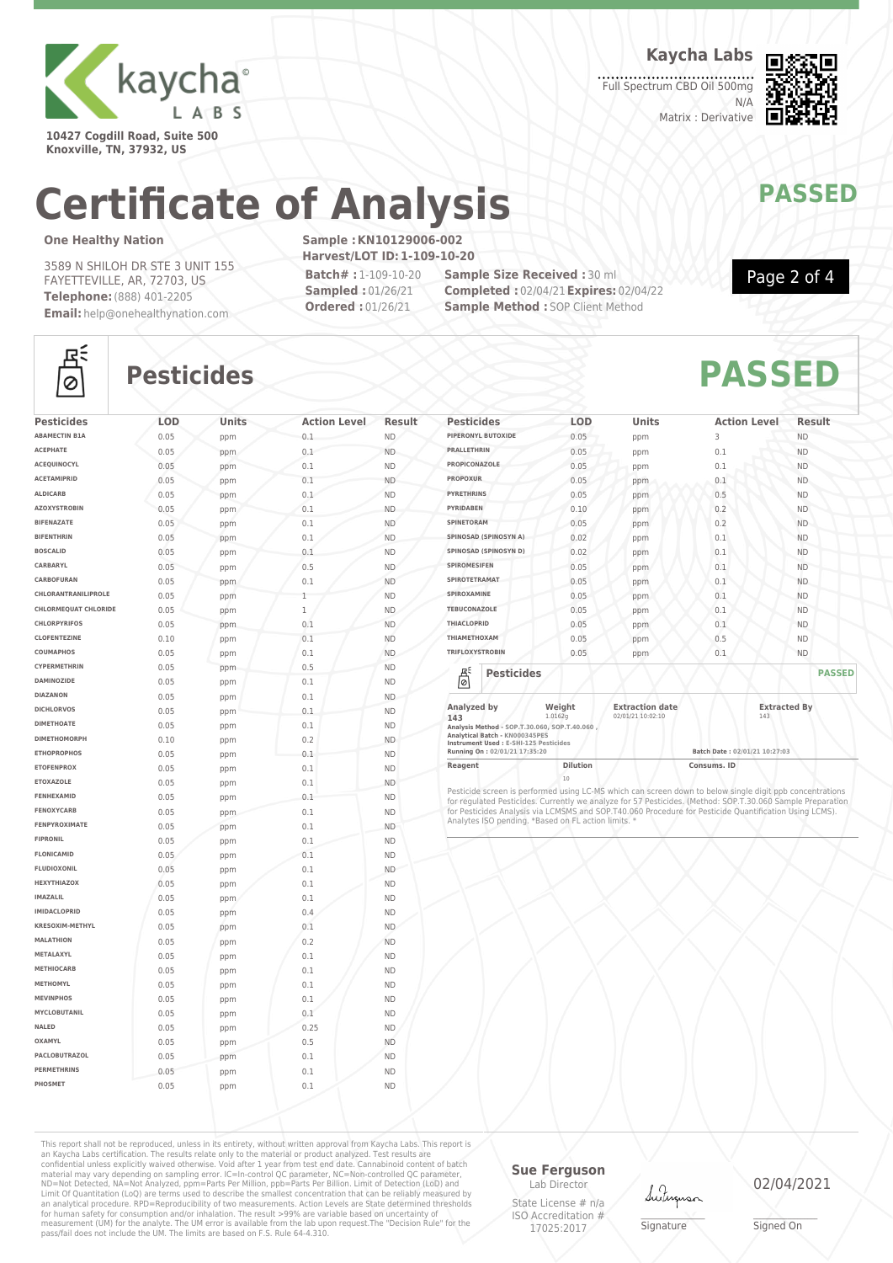

**10427 Cogdill Road, Suite 500 Knoxville, TN, 37932, US**

**Kaycha Labs**

Full Spectrum CBD Oil 500mg N/A Matrix : Derivative



## **Certificate of Analysis MANAWAPASSED**

### **One Healthy Nation**

3589 N SHILOH DR STE 3 UNIT 155 FAYETTEVILLE, AR, 72703, US **Telephone:**(888) 401-2205 **Email:** help@onehealthynation.com **Sample :KN10129006-002 Harvest/LOT ID:1-109-10-20 Batch# :** 1-109-10-20 **Sampled :** 01/26/21

**Ordered :** 01/26/21

**Sample Size Received :** 30 ml **Completed :** 02/04/21**Expires:** 02/04/22 **Sample Method : SOP Client Method** 



## $\circ$

## **Pesticides PASSED**

| <b>Pesticides</b>           | LOD  | Units | <b>Action Level</b> | Result    |
|-----------------------------|------|-------|---------------------|-----------|
| <b>ABAMECTIN B1A</b>        | 0.05 | ppm   | 0.1                 | ND.       |
| <b>ACEPHATE</b>             | 0.05 | ppm   | 0.1                 | <b>ND</b> |
| ACEQUINOCYL                 | 0.05 | ppm   | 0.1                 | <b>ND</b> |
| <b>ACETAMIPRID</b>          | 0.05 | ppm   | 0.1                 | <b>ND</b> |
| <b>ALDICARB</b>             | 0.05 | ppm   | 0.1                 | <b>ND</b> |
| <b>AZOXYSTROBIN</b>         | 0.05 | ppm   | 0.1                 | <b>ND</b> |
| <b>BIFENAZATE</b>           | 0.05 | ppm   | 0.1                 | <b>ND</b> |
| <b>BIFENTHRIN</b>           | 0.05 | ppm   | 0.1                 | <b>ND</b> |
| <b>BOSCALID</b>             | 0.05 | ppm   | 0.1                 | <b>ND</b> |
| CARBARYL                    | 0.05 | ppm   | 0.5                 | <b>ND</b> |
| CARBOFURAN                  | 0.05 | ppm   | 0.1                 | <b>ND</b> |
| CHLORANTRANILIPROLE         | 0.05 | ppm   | 1                   | <b>ND</b> |
| <b>CHLORMEOUAT CHLORIDE</b> | 0.05 | ppm   | 1                   | <b>ND</b> |
| <b>CHLORPYRIFOS</b>         | 0.05 | ppm   | 0.1                 | <b>ND</b> |
| <b>CLOFENTEZINE</b>         | 0.10 | ppm   | 0.1                 | <b>ND</b> |
| COUMAPHOS                   | 0.05 | ppm   | 0.1                 | <b>ND</b> |
| CYPERMETHRIN                | 0.05 | ppm   | 0.5                 | <b>ND</b> |
| <b>DAMINOZIDE</b>           | 0.05 | ppm   | 0.1                 | <b>ND</b> |
| <b>DIAZANON</b>             | 0.05 | ppm   | 0.1                 | <b>ND</b> |
| <b>DICHLORVOS</b>           | 0.05 | ppm   | 0.1                 | <b>ND</b> |
| <b>DIMETHOATE</b>           | 0.05 | ppm   | 0.1                 | <b>ND</b> |
| <b>DIMETHOMORPH</b>         | 0.10 | ppm   | 0.2                 | <b>ND</b> |
| <b>ETHOPROPHOS</b>          | 0.05 | ppm   | 0.1                 | <b>ND</b> |
| <b>ETOFENPROX</b>           | 0.05 | ppm   | 0.1                 | <b>ND</b> |
| <b>ETOXAZOLE</b>            | 0.05 | ppm   | 0.1                 | <b>ND</b> |
| FENHEXAMID                  | 0.05 | ppm   | 0.1                 | <b>ND</b> |
| <b>FENOXYCARB</b>           | 0.05 | ppm   | 0.1                 | <b>ND</b> |
| FENPYROXIMATE               | 0.05 | ppm   | 0.1                 | <b>ND</b> |
| <b>FIPRONIL</b>             | 0.05 | ppm   | 0.1                 | <b>ND</b> |
| <b>FLONICAMID</b>           | 0.05 | ppm   | 0.1                 | <b>ND</b> |
| <b>FLUDIOXONIL</b>          | 0.05 | ppm   | 0.1                 | <b>ND</b> |
| HEXYTHIAZOX                 | 0.05 | ppm   | 0.1                 | <b>ND</b> |
| <b>IMAZALIL</b>             | 0.05 | ppm   | 0.1                 | <b>ND</b> |
| <b>IMIDACLOPRID</b>         | 0.05 | ppm   | 0.4                 | <b>ND</b> |
| <b>KRESOXIM-METHYL</b>      | 0.05 | ppm   | 0.1                 | <b>ND</b> |
| <b>MALATHION</b>            | 0.05 | ppm   | 0.2                 | <b>ND</b> |
| METALAXYL                   | 0.05 | ppm   | 0.1                 | <b>ND</b> |
| <b>METHIOCARB</b>           | 0.05 | ppm   | 0.1                 | <b>ND</b> |
| <b>METHOMYL</b>             | 0.05 | ppm   | 0.1                 | <b>ND</b> |
| <b>MEVINPHOS</b>            | 0.05 | ppm   | 0.1                 | <b>ND</b> |
| MYCLOBUTANIL                | 0.05 | ppm   | 0.1                 | <b>ND</b> |
| NALED                       | 0.05 | ppm   | 0.25                | <b>ND</b> |
| OXAMYL                      | 0.05 | ppm   | 0.5                 | <b>ND</b> |
| PACLOBUTRAZOL               | 0.05 | ppm   | 0.1                 | <b>ND</b> |
| <b>PERMETHRINS</b>          | 0.05 | ppm   | 0.1                 | <b>ND</b> |
|                             |      |       |                     |           |

| <b>Pesticides</b>                                                   | <b>LOD</b>        | <b>Units</b>                                | <b>Action Level</b> | Result              |
|---------------------------------------------------------------------|-------------------|---------------------------------------------|---------------------|---------------------|
| PIPERONYL BUTOXIDE                                                  | 0.05              | ppm                                         | 3                   | <b>ND</b>           |
| <b>PRALLETHRIN</b>                                                  | 0.05              | ppm                                         | 0.1                 | <b>ND</b>           |
| <b>PROPICONAZOLE</b>                                                | 0.05              | ppm                                         | 0.1                 | <b>ND</b>           |
| <b>PROPOXUR</b>                                                     | 0.05              | ppm                                         | 0.1                 | <b>ND</b>           |
| <b>PYRETHRINS</b>                                                   | 0.05              | ppm                                         | 0.5                 | <b>ND</b>           |
| <b>PYRIDABEN</b>                                                    | 0.10              | ppm                                         | 0.2                 | <b>ND</b>           |
| SPINETORAM                                                          | 0.05              | ppm                                         | 0.2                 | <b>ND</b>           |
| SPINOSAD (SPINOSYN A)                                               | 0.02              | ppm                                         | 0.1                 | <b>ND</b>           |
| SPINOSAD (SPINOSYN D)                                               | 0.02              | ppm                                         | 0.1                 | <b>ND</b>           |
| <b>SPIROMESIFEN</b>                                                 | 0.05              | ppm                                         | 0.1                 | <b>ND</b>           |
| SPIROTETRAMAT                                                       | 0.05              | ppm                                         | 0.1                 | <b>ND</b>           |
| SPIROXAMINE                                                         | 0.05              | ppm                                         | 0.1                 | <b>ND</b>           |
| <b>TEBUCONAZOLE</b>                                                 | 0.05              | ppm                                         | 0.1                 | <b>ND</b>           |
| <b>THIACLOPRID</b>                                                  | 0.05              | ppm                                         | 0.1                 | <b>ND</b>           |
| ΤΗΙΑΜΕΤΗΟΧΑΜ                                                        | 0.05              | ppm                                         | 0.5                 | <b>ND</b>           |
| <b>TRIFLOXYSTROBIN</b>                                              | 0.05              | ppm                                         | 0.1                 | <b>ND</b>           |
| á<br><b>Pesticides</b>                                              |                   |                                             |                     | <b>PASSED</b>       |
| Analyzed by<br>143<br>Analysis Method - SOP.T.30.060, SOP.T.40.060, | Weight<br>1.0162g | <b>Extraction date</b><br>02/01/21 10:02:10 | 143                 | <b>Extracted By</b> |

**Analysis Method - SOP.T.30.060, SOP.T.40.060 , Analytical Batch - KN000345PES Instrument Used : E-SHI-125 Pesticides**

**Running On : 02/01/21 17:35:20 Batch Date : 02/01/21 10:27:03 Reagent Dilution Dilution Consums. ID** 

20<br>Pesticide screen is performed using LC-MS which can screen down to below single digit ppb concentrations<br>for regulated Pesticides. Currently we analyze for 57 Pesticides. (Method: SOP.T.30.060 Sample Preparation<br>for Pes

This report shall not be reproduced, unless in its entirety, without written approval from Kaycha Labs. This report is<br>an Kaycha Labs certification. The results relate only to the materal or product analyzed. Test results

**Sue Ferguson** Lab Director

State License # n/a ISO Accreditation # 17025:2017

Lutun

\_\_\_\_\_\_\_\_\_\_\_\_\_\_\_\_\_\_\_ Signature

02/04/2021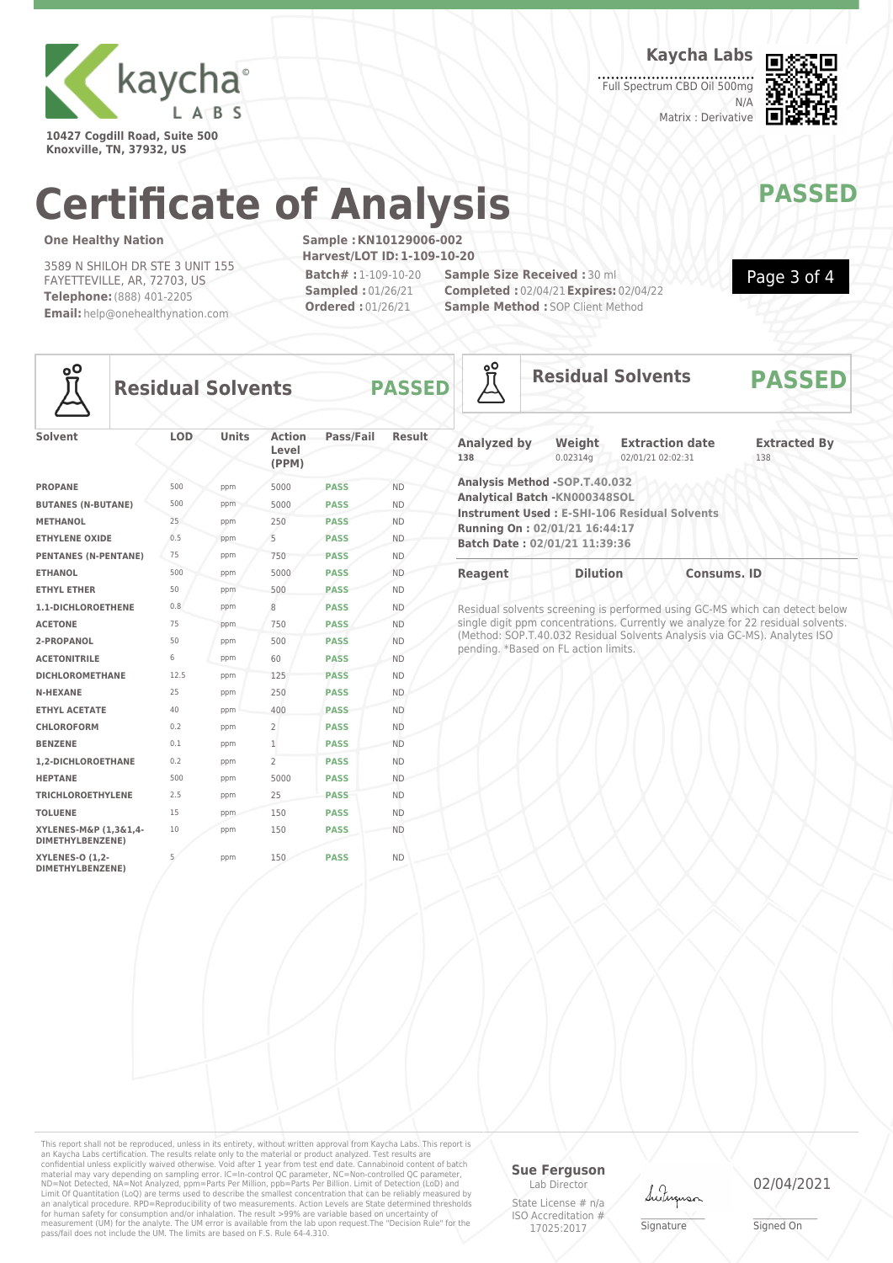

**10427 Cogdill Road, Suite 500 Knoxville, TN, 37932, US**

**Kaycha Labs**

Full Spectrum CBD Oil 500mg N/A Matrix : Derivative



Page 3 of 4

## **Certificate of Analysis MANAWAPASSED**

### **One Healthy Nation**

3589 N SHILOH DR STE 3 UNIT 155 FAYETTEVILLE, AR, 72703, US **Telephone:**(888) 401-2205 **Email:** help@onehealthynation.com **Sample :KN10129006-002 Harvest/LOT ID:1-109-10-20 Batch# :** 1-109-10-20 **Sampled :** 01/26/21 **Ordered :** 01/26/21

**Sample Size Received :** 30 ml **Completed :** 02/04/21**Expires:** 02/04/22 **Sample Method : SOP Client Method** 



### **Residual Solvents PASSED**

| Solvent                                    | <b>LOD</b> | <b>Units</b> | Action<br>Level<br>(PPM) | Pass/Fail   | Result    |
|--------------------------------------------|------------|--------------|--------------------------|-------------|-----------|
| <b>PROPANE</b>                             | 500        | ppm          | 5000                     | <b>PASS</b> | <b>ND</b> |
| <b>BUTANES (N-BUTANE)</b>                  | 500        | ppm          | 5000                     | <b>PASS</b> | <b>ND</b> |
| <b>METHANOL</b>                            | 25         | ppm          | 250                      | <b>PASS</b> | <b>ND</b> |
| <b>ETHYLENE OXIDE</b>                      | 0.5        | ppm          | 5                        | <b>PASS</b> | <b>ND</b> |
| <b>PENTANES (N-PENTANE)</b>                | 75         | ppm          | 750                      | <b>PASS</b> | <b>ND</b> |
| <b>ETHANOL</b>                             | 500        | ppm          | 5000                     | <b>PASS</b> | <b>ND</b> |
| <b>ETHYL ETHER</b>                         | 50         | ppm          | 500                      | <b>PASS</b> | <b>ND</b> |
| 1.1-DICHLOROETHENE                         | 0.8        | ppm          | 8                        | <b>PASS</b> | <b>ND</b> |
| <b>ACETONE</b>                             | 75         | ppm          | 750                      | <b>PASS</b> | <b>ND</b> |
| 2-PROPANOL                                 | 50         | ppm          | 500                      | <b>PASS</b> | <b>ND</b> |
| <b>ACETONITRILE</b>                        | 6          | ppm          | 60                       | <b>PASS</b> | <b>ND</b> |
| <b>DICHLOROMETHANE</b>                     | 12.5       | ppm          | 125                      | <b>PASS</b> | <b>ND</b> |
| <b>N-HEXANE</b>                            | 25         | ppm          | 250                      | <b>PASS</b> | <b>ND</b> |
| <b>ETHYL ACETATE</b>                       | 40         | ppm          | 400                      | <b>PASS</b> | <b>ND</b> |
| <b>CHLOROFORM</b>                          | 0.2        | ppm          | $\overline{2}$           | <b>PASS</b> | <b>ND</b> |
| <b>BENZENE</b>                             | 0.1        | ppm          | $\mathbf{1}$             | <b>PASS</b> | <b>ND</b> |
| 1.2-DICHLOROETHANE                         | 0.2        | ppm          | $\overline{2}$           | <b>PASS</b> | <b>ND</b> |
| <b>HEPTANE</b>                             | 500        | ppm          | 5000                     | <b>PASS</b> | <b>ND</b> |
| <b>TRICHLOROETHYLENE</b>                   | 2.5        | ppm          | 25                       | <b>PASS</b> | <b>ND</b> |
| <b>TOLUENE</b>                             | 15         | ppm          | 150                      | <b>PASS</b> | <b>ND</b> |
| XYLENES-M&P (1,3&1,4-<br>DIMETHYLBENZENE)  | 10         | ppm          | 150                      | <b>PASS</b> | <b>ND</b> |
| <b>XYLENES-O (1,2-</b><br>DIMETHYLBENZENE) | 5          | ppm          | 150                      | <b>PASS</b> | <b>ND</b> |

| oO                        | <b>Residual Solvents</b>                                                                                                          |                                                     | <b>PASSED</b>              |  |
|---------------------------|-----------------------------------------------------------------------------------------------------------------------------------|-----------------------------------------------------|----------------------------|--|
| <b>Analyzed by</b><br>138 | Weight<br>0.02314q                                                                                                                | <b>Extraction date</b><br>02/01/21 02:02:31         | <b>Extracted By</b><br>138 |  |
|                           | Analysis Method -SOP.T.40.032<br>Analytical Batch - KN000348SOL<br>Running On: 02/01/21 16:44:17<br>Batch Date: 02/01/21 11:39:36 | <b>Instrument Used: E-SHI-106 Residual Solvents</b> |                            |  |
| <b>Reagent</b>            | <b>Dilution</b>                                                                                                                   | <b>Consums, ID</b>                                  |                            |  |

Residual solvents screening is performed using GC-MS which can detect below single digit ppm concentrations. Currently we analyze for 22 residual solvents. (Method: SOP.T.40.032 Residual Solvents Analysis via GC-MS). Analytes ISO pending. \*Based on FL action limits.

This report shall not be reproduced, unless in its entirety, without written approval from Kaycha Labs. This report is<br>an Kaycha Labs certification. The results relate only to the materal or product analyzed. Test results

### **Sue Ferguson**

Lab Director State License # n/a ISO Accreditation # 17025:2017

Luting

\_\_\_\_\_\_\_\_\_\_\_\_\_\_\_\_\_\_\_ Signature

02/04/2021